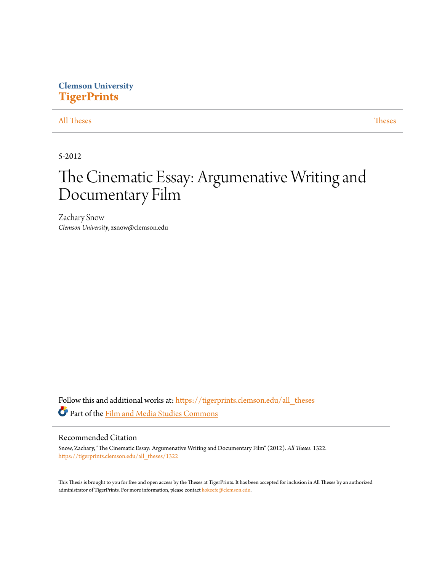# **Clemson University [TigerPrints](https://tigerprints.clemson.edu?utm_source=tigerprints.clemson.edu%2Fall_theses%2F1322&utm_medium=PDF&utm_campaign=PDFCoverPages)**

## [All Theses](https://tigerprints.clemson.edu/all_theses?utm_source=tigerprints.clemson.edu%2Fall_theses%2F1322&utm_medium=PDF&utm_campaign=PDFCoverPages) **[Theses](https://tigerprints.clemson.edu/theses?utm_source=tigerprints.clemson.edu%2Fall_theses%2F1322&utm_medium=PDF&utm_campaign=PDFCoverPages)**

5-2012

# The Cinematic Essay: Argumenative Writing and Documentary Film

Zachary Snow *Clemson University*, zsnow@clemson.edu

Follow this and additional works at: [https://tigerprints.clemson.edu/all\\_theses](https://tigerprints.clemson.edu/all_theses?utm_source=tigerprints.clemson.edu%2Fall_theses%2F1322&utm_medium=PDF&utm_campaign=PDFCoverPages) Part of the [Film and Media Studies Commons](http://network.bepress.com/hgg/discipline/563?utm_source=tigerprints.clemson.edu%2Fall_theses%2F1322&utm_medium=PDF&utm_campaign=PDFCoverPages)

#### Recommended Citation

Snow, Zachary, "The Cinematic Essay: Argumenative Writing and Documentary Film" (2012). *All Theses*. 1322. [https://tigerprints.clemson.edu/all\\_theses/1322](https://tigerprints.clemson.edu/all_theses/1322?utm_source=tigerprints.clemson.edu%2Fall_theses%2F1322&utm_medium=PDF&utm_campaign=PDFCoverPages)

This Thesis is brought to you for free and open access by the Theses at TigerPrints. It has been accepted for inclusion in All Theses by an authorized administrator of TigerPrints. For more information, please contact [kokeefe@clemson.edu](mailto:kokeefe@clemson.edu).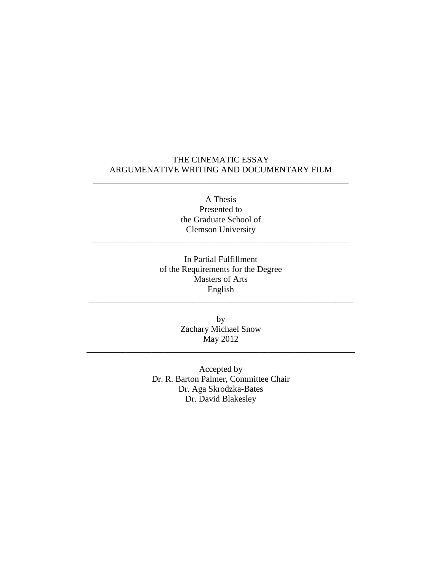# THE CINEMATIC ESSAY ARGUMENATIVE WRITING AND DOCUMENTARY FILM

\_\_\_\_\_\_\_\_\_\_\_\_\_\_\_\_\_\_\_\_\_\_\_\_\_\_\_\_\_\_\_\_\_\_\_\_\_\_\_\_\_\_\_\_\_\_\_\_\_\_\_\_\_\_\_\_\_\_\_

A Thesis Presented to the Graduate School of Clemson University

\_\_\_\_\_\_\_\_\_\_\_\_\_\_\_\_\_\_\_\_\_\_\_\_\_\_\_\_\_\_\_\_\_\_\_\_\_\_\_\_\_\_\_\_\_\_\_\_\_\_\_\_\_\_\_\_\_\_\_\_

In Partial Fulfillment of the Requirements for the Degree Masters of Arts English

\_\_\_\_\_\_\_\_\_\_\_\_\_\_\_\_\_\_\_\_\_\_\_\_\_\_\_\_\_\_\_\_\_\_\_\_\_\_\_\_\_\_\_\_\_\_\_\_\_\_\_\_\_\_\_\_\_\_\_\_\_

by Zachary Michael Snow May 2012

\_\_\_\_\_\_\_\_\_\_\_\_\_\_\_\_\_\_\_\_\_\_\_\_\_\_\_\_\_\_\_\_\_\_\_\_\_\_\_\_\_\_\_\_\_\_\_\_\_\_\_\_\_\_\_\_\_\_\_\_\_\_

Accepted by Dr. R. Barton Palmer, Committee Chair Dr. Aga Skrodzka-Bates Dr. David Blakesley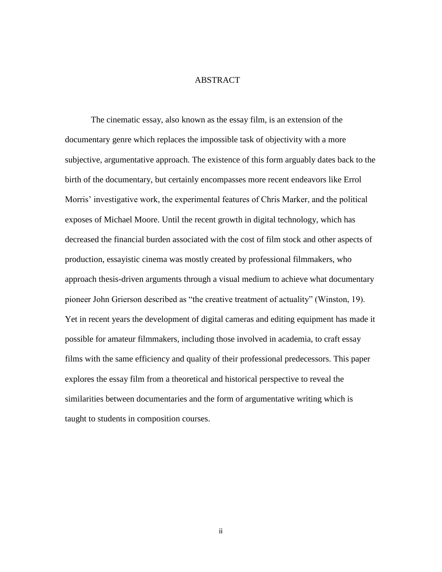## ABSTRACT

The cinematic essay, also known as the essay film, is an extension of the documentary genre which replaces the impossible task of objectivity with a more subjective, argumentative approach. The existence of this form arguably dates back to the birth of the documentary, but certainly encompasses more recent endeavors like Errol Morris' investigative work, the experimental features of Chris Marker, and the political exposes of Michael Moore. Until the recent growth in digital technology, which has decreased the financial burden associated with the cost of film stock and other aspects of production, essayistic cinema was mostly created by professional filmmakers, who approach thesis-driven arguments through a visual medium to achieve what documentary pioneer John Grierson described as "the creative treatment of actuality" (Winston, 19). Yet in recent years the development of digital cameras and editing equipment has made it possible for amateur filmmakers, including those involved in academia, to craft essay films with the same efficiency and quality of their professional predecessors. This paper explores the essay film from a theoretical and historical perspective to reveal the similarities between documentaries and the form of argumentative writing which is taught to students in composition courses.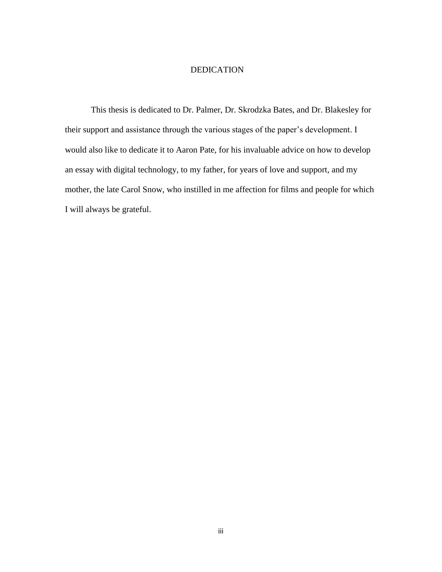## DEDICATION

This thesis is dedicated to Dr. Palmer, Dr. Skrodzka Bates, and Dr. Blakesley for their support and assistance through the various stages of the paper's development. I would also like to dedicate it to Aaron Pate, for his invaluable advice on how to develop an essay with digital technology, to my father, for years of love and support, and my mother, the late Carol Snow, who instilled in me affection for films and people for which I will always be grateful.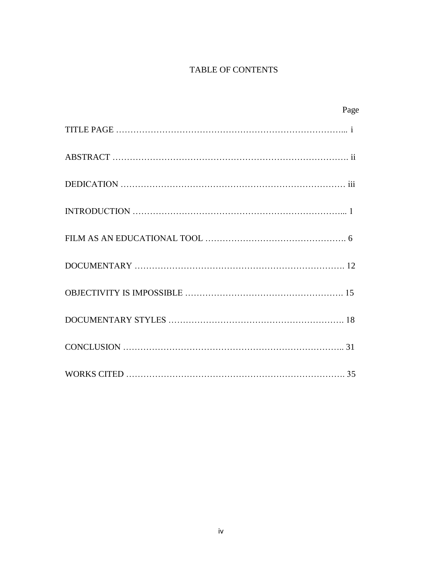# TABLE OF CONTENTS

| Page |
|------|
|      |
|      |
|      |
|      |
|      |
|      |
|      |
|      |
|      |
|      |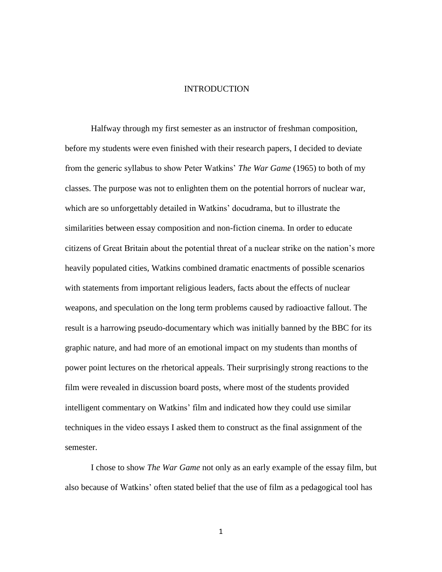#### INTRODUCTION

Halfway through my first semester as an instructor of freshman composition, before my students were even finished with their research papers, I decided to deviate from the generic syllabus to show Peter Watkins' *The War Game* (1965) to both of my classes. The purpose was not to enlighten them on the potential horrors of nuclear war, which are so unforgettably detailed in Watkins' docudrama, but to illustrate the similarities between essay composition and non-fiction cinema. In order to educate citizens of Great Britain about the potential threat of a nuclear strike on the nation's more heavily populated cities, Watkins combined dramatic enactments of possible scenarios with statements from important religious leaders, facts about the effects of nuclear weapons, and speculation on the long term problems caused by radioactive fallout. The result is a harrowing pseudo-documentary which was initially banned by the BBC for its graphic nature, and had more of an emotional impact on my students than months of power point lectures on the rhetorical appeals. Their surprisingly strong reactions to the film were revealed in discussion board posts, where most of the students provided intelligent commentary on Watkins' film and indicated how they could use similar techniques in the video essays I asked them to construct as the final assignment of the semester.

I chose to show *The War Game* not only as an early example of the essay film, but also because of Watkins' often stated belief that the use of film as a pedagogical tool has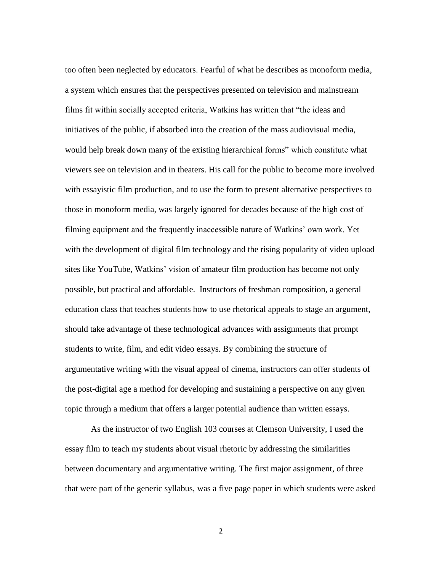too often been neglected by educators. Fearful of what he describes as monoform media, a system which ensures that the perspectives presented on television and mainstream films fit within socially accepted criteria, Watkins has written that "the ideas and initiatives of the public, if absorbed into the creation of the mass audiovisual media, would help break down many of the existing hierarchical forms" which constitute what viewers see on television and in theaters. His call for the public to become more involved with essayistic film production, and to use the form to present alternative perspectives to those in monoform media, was largely ignored for decades because of the high cost of filming equipment and the frequently inaccessible nature of Watkins' own work. Yet with the development of digital film technology and the rising popularity of video upload sites like YouTube, Watkins' vision of amateur film production has become not only possible, but practical and affordable. Instructors of freshman composition, a general education class that teaches students how to use rhetorical appeals to stage an argument, should take advantage of these technological advances with assignments that prompt students to write, film, and edit video essays. By combining the structure of argumentative writing with the visual appeal of cinema, instructors can offer students of the post-digital age a method for developing and sustaining a perspective on any given topic through a medium that offers a larger potential audience than written essays.

As the instructor of two English 103 courses at Clemson University, I used the essay film to teach my students about visual rhetoric by addressing the similarities between documentary and argumentative writing. The first major assignment, of three that were part of the generic syllabus, was a five page paper in which students were asked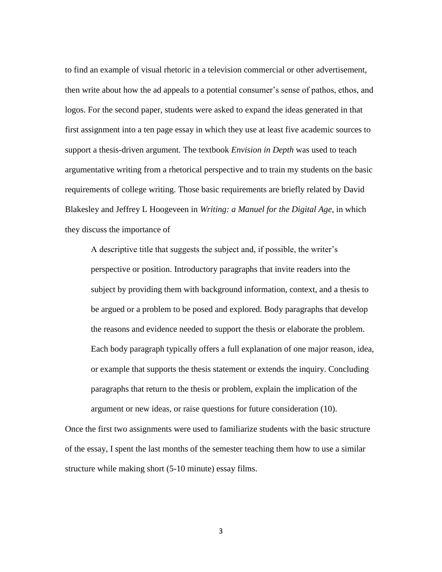to find an example of visual rhetoric in a television commercial or other advertisement, then write about how the ad appeals to a potential consumer's sense of pathos, ethos, and logos. For the second paper, students were asked to expand the ideas generated in that first assignment into a ten page essay in which they use at least five academic sources to support a thesis-driven argument. The textbook *Envision in Depth* was used to teach argumentative writing from a rhetorical perspective and to train my students on the basic requirements of college writing. Those basic requirements are briefly related by David Blakesley and Jeffrey L Hoogeveen in *Writing: a Manuel for the Digital Age*, in which they discuss the importance of

A descriptive title that suggests the subject and, if possible, the writer's perspective or position. Introductory paragraphs that invite readers into the subject by providing them with background information, context, and a thesis to be argued or a problem to be posed and explored. Body paragraphs that develop the reasons and evidence needed to support the thesis or elaborate the problem. Each body paragraph typically offers a full explanation of one major reason, idea, or example that supports the thesis statement or extends the inquiry. Concluding paragraphs that return to the thesis or problem, explain the implication of the argument or new ideas, or raise questions for future consideration (10).

Once the first two assignments were used to familiarize students with the basic structure of the essay, I spent the last months of the semester teaching them how to use a similar structure while making short (5-10 minute) essay films.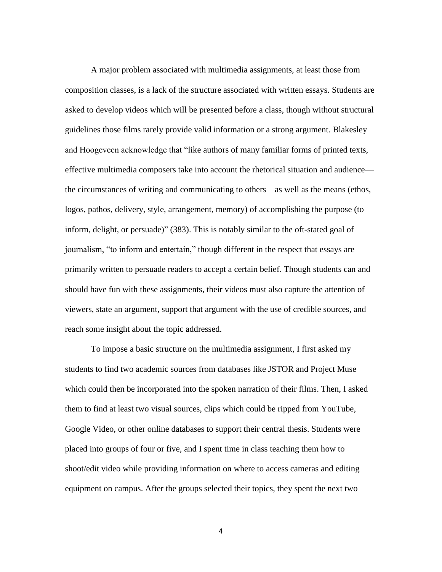A major problem associated with multimedia assignments, at least those from composition classes, is a lack of the structure associated with written essays. Students are asked to develop videos which will be presented before a class, though without structural guidelines those films rarely provide valid information or a strong argument. Blakesley and Hoogeveen acknowledge that "like authors of many familiar forms of printed texts, effective multimedia composers take into account the rhetorical situation and audience the circumstances of writing and communicating to others—as well as the means (ethos, logos, pathos, delivery, style, arrangement, memory) of accomplishing the purpose (to inform, delight, or persuade)" (383). This is notably similar to the oft-stated goal of journalism, "to inform and entertain," though different in the respect that essays are primarily written to persuade readers to accept a certain belief. Though students can and should have fun with these assignments, their videos must also capture the attention of viewers, state an argument, support that argument with the use of credible sources, and reach some insight about the topic addressed.

To impose a basic structure on the multimedia assignment, I first asked my students to find two academic sources from databases like JSTOR and Project Muse which could then be incorporated into the spoken narration of their films. Then, I asked them to find at least two visual sources, clips which could be ripped from YouTube, Google Video, or other online databases to support their central thesis. Students were placed into groups of four or five, and I spent time in class teaching them how to shoot/edit video while providing information on where to access cameras and editing equipment on campus. After the groups selected their topics, they spent the next two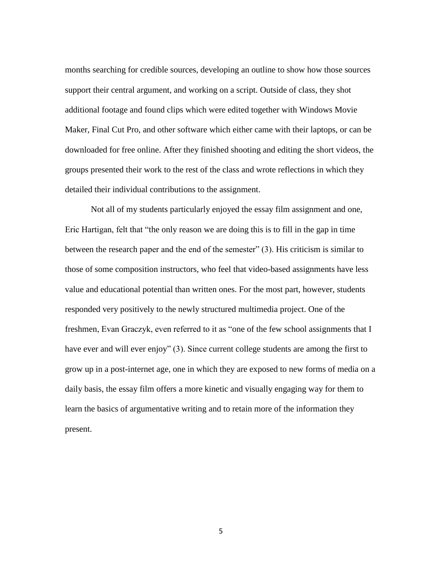months searching for credible sources, developing an outline to show how those sources support their central argument, and working on a script. Outside of class, they shot additional footage and found clips which were edited together with Windows Movie Maker, Final Cut Pro, and other software which either came with their laptops, or can be downloaded for free online. After they finished shooting and editing the short videos, the groups presented their work to the rest of the class and wrote reflections in which they detailed their individual contributions to the assignment.

Not all of my students particularly enjoyed the essay film assignment and one, Eric Hartigan, felt that "the only reason we are doing this is to fill in the gap in time between the research paper and the end of the semester" (3). His criticism is similar to those of some composition instructors, who feel that video-based assignments have less value and educational potential than written ones. For the most part, however, students responded very positively to the newly structured multimedia project. One of the freshmen, Evan Graczyk, even referred to it as "one of the few school assignments that I have ever and will ever enjoy" (3). Since current college students are among the first to grow up in a post-internet age, one in which they are exposed to new forms of media on a daily basis, the essay film offers a more kinetic and visually engaging way for them to learn the basics of argumentative writing and to retain more of the information they present.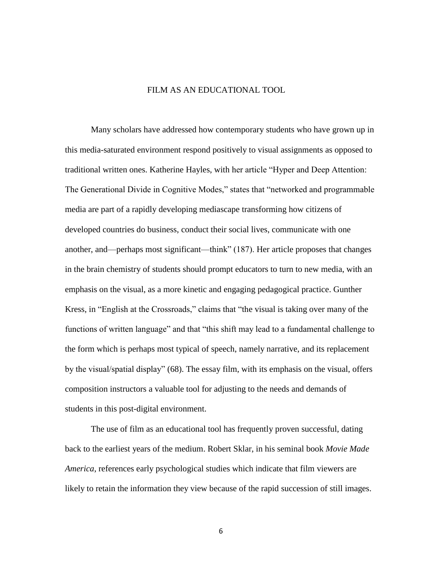#### FILM AS AN EDUCATIONAL TOOL

Many scholars have addressed how contemporary students who have grown up in this media-saturated environment respond positively to visual assignments as opposed to traditional written ones. Katherine Hayles, with her article "Hyper and Deep Attention: The Generational Divide in Cognitive Modes," states that "networked and programmable media are part of a rapidly developing mediascape transforming how citizens of developed countries do business, conduct their social lives, communicate with one another, and—perhaps most significant—think" (187). Her article proposes that changes in the brain chemistry of students should prompt educators to turn to new media, with an emphasis on the visual, as a more kinetic and engaging pedagogical practice. Gunther Kress, in "English at the Crossroads," claims that "the visual is taking over many of the functions of written language" and that "this shift may lead to a fundamental challenge to the form which is perhaps most typical of speech, namely narrative, and its replacement by the visual/spatial display" (68). The essay film, with its emphasis on the visual, offers composition instructors a valuable tool for adjusting to the needs and demands of students in this post-digital environment.

The use of film as an educational tool has frequently proven successful, dating back to the earliest years of the medium. Robert Sklar, in his seminal book *Movie Made America*, references early psychological studies which indicate that film viewers are likely to retain the information they view because of the rapid succession of still images.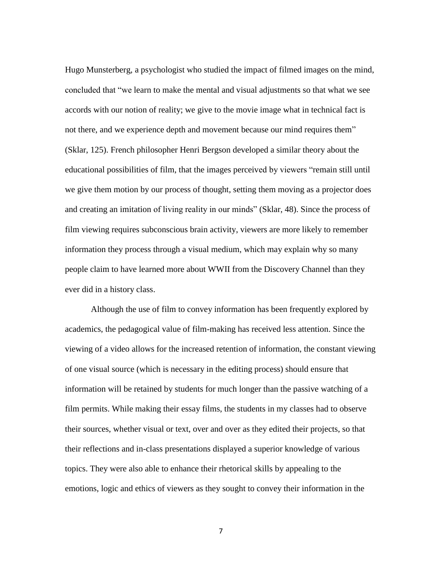Hugo Munsterberg, a psychologist who studied the impact of filmed images on the mind, concluded that "we learn to make the mental and visual adjustments so that what we see accords with our notion of reality; we give to the movie image what in technical fact is not there, and we experience depth and movement because our mind requires them" (Sklar, 125). French philosopher Henri Bergson developed a similar theory about the educational possibilities of film, that the images perceived by viewers "remain still until we give them motion by our process of thought, setting them moving as a projector does and creating an imitation of living reality in our minds" (Sklar, 48). Since the process of film viewing requires subconscious brain activity, viewers are more likely to remember information they process through a visual medium, which may explain why so many people claim to have learned more about WWII from the Discovery Channel than they ever did in a history class.

Although the use of film to convey information has been frequently explored by academics, the pedagogical value of film-making has received less attention. Since the viewing of a video allows for the increased retention of information, the constant viewing of one visual source (which is necessary in the editing process) should ensure that information will be retained by students for much longer than the passive watching of a film permits. While making their essay films, the students in my classes had to observe their sources, whether visual or text, over and over as they edited their projects, so that their reflections and in-class presentations displayed a superior knowledge of various topics. They were also able to enhance their rhetorical skills by appealing to the emotions, logic and ethics of viewers as they sought to convey their information in the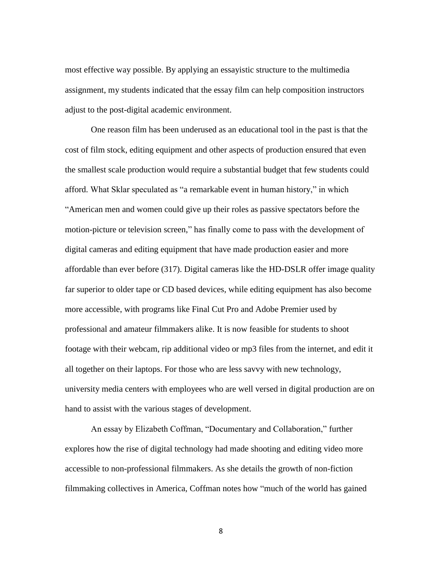most effective way possible. By applying an essayistic structure to the multimedia assignment, my students indicated that the essay film can help composition instructors adjust to the post-digital academic environment.

One reason film has been underused as an educational tool in the past is that the cost of film stock, editing equipment and other aspects of production ensured that even the smallest scale production would require a substantial budget that few students could afford. What Sklar speculated as "a remarkable event in human history," in which "American men and women could give up their roles as passive spectators before the motion-picture or television screen," has finally come to pass with the development of digital cameras and editing equipment that have made production easier and more affordable than ever before (317). Digital cameras like the HD-DSLR offer image quality far superior to older tape or CD based devices, while editing equipment has also become more accessible, with programs like Final Cut Pro and Adobe Premier used by professional and amateur filmmakers alike. It is now feasible for students to shoot footage with their webcam, rip additional video or mp3 files from the internet, and edit it all together on their laptops. For those who are less savvy with new technology, university media centers with employees who are well versed in digital production are on hand to assist with the various stages of development.

An essay by Elizabeth Coffman, "Documentary and Collaboration," further explores how the rise of digital technology had made shooting and editing video more accessible to non-professional filmmakers. As she details the growth of non-fiction filmmaking collectives in America, Coffman notes how "much of the world has gained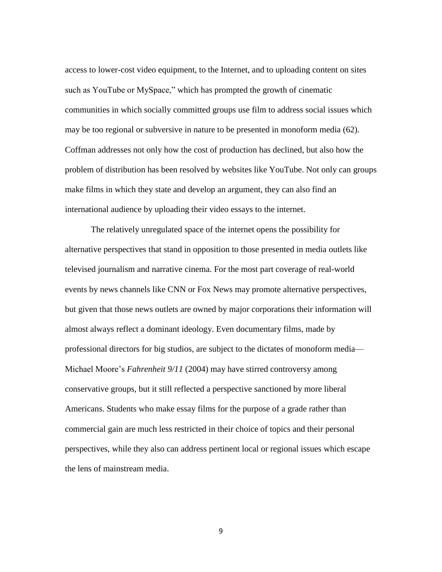access to lower-cost video equipment, to the Internet, and to uploading content on sites such as YouTube or MySpace," which has prompted the growth of cinematic communities in which socially committed groups use film to address social issues which may be too regional or subversive in nature to be presented in monoform media (62). Coffman addresses not only how the cost of production has declined, but also how the problem of distribution has been resolved by websites like YouTube. Not only can groups make films in which they state and develop an argument, they can also find an international audience by uploading their video essays to the internet.

The relatively unregulated space of the internet opens the possibility for alternative perspectives that stand in opposition to those presented in media outlets like televised journalism and narrative cinema. For the most part coverage of real-world events by news channels like CNN or Fox News may promote alternative perspectives, but given that those news outlets are owned by major corporations their information will almost always reflect a dominant ideology. Even documentary films, made by professional directors for big studios, are subject to the dictates of monoform media— Michael Moore's *Fahrenheit 9/11* (2004) may have stirred controversy among conservative groups, but it still reflected a perspective sanctioned by more liberal Americans. Students who make essay films for the purpose of a grade rather than commercial gain are much less restricted in their choice of topics and their personal perspectives, while they also can address pertinent local or regional issues which escape the lens of mainstream media.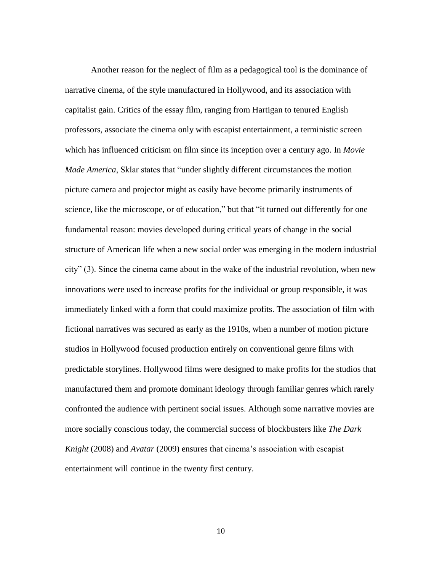Another reason for the neglect of film as a pedagogical tool is the dominance of narrative cinema, of the style manufactured in Hollywood, and its association with capitalist gain. Critics of the essay film, ranging from Hartigan to tenured English professors, associate the cinema only with escapist entertainment, a terministic screen which has influenced criticism on film since its inception over a century ago. In *Movie Made America*, Sklar states that "under slightly different circumstances the motion picture camera and projector might as easily have become primarily instruments of science, like the microscope, or of education," but that "it turned out differently for one fundamental reason: movies developed during critical years of change in the social structure of American life when a new social order was emerging in the modern industrial city" (3). Since the cinema came about in the wake of the industrial revolution, when new innovations were used to increase profits for the individual or group responsible, it was immediately linked with a form that could maximize profits. The association of film with fictional narratives was secured as early as the 1910s, when a number of motion picture studios in Hollywood focused production entirely on conventional genre films with predictable storylines. Hollywood films were designed to make profits for the studios that manufactured them and promote dominant ideology through familiar genres which rarely confronted the audience with pertinent social issues. Although some narrative movies are more socially conscious today, the commercial success of blockbusters like *The Dark Knight* (2008) and *Avatar* (2009) ensures that cinema's association with escapist entertainment will continue in the twenty first century.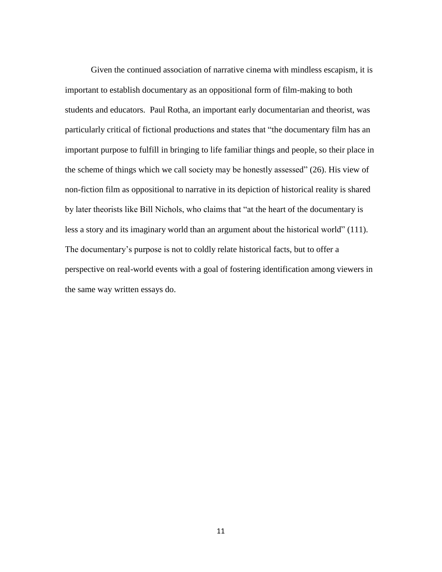Given the continued association of narrative cinema with mindless escapism, it is important to establish documentary as an oppositional form of film-making to both students and educators. Paul Rotha, an important early documentarian and theorist, was particularly critical of fictional productions and states that "the documentary film has an important purpose to fulfill in bringing to life familiar things and people, so their place in the scheme of things which we call society may be honestly assessed" (26). His view of non-fiction film as oppositional to narrative in its depiction of historical reality is shared by later theorists like Bill Nichols, who claims that "at the heart of the documentary is less a story and its imaginary world than an argument about the historical world" (111). The documentary's purpose is not to coldly relate historical facts, but to offer a perspective on real-world events with a goal of fostering identification among viewers in the same way written essays do.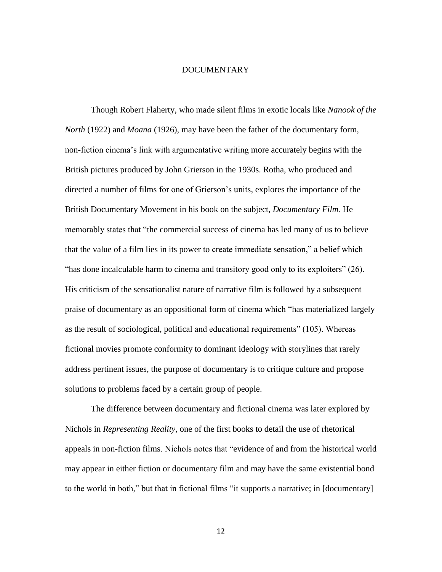#### DOCUMENTARY

Though Robert Flaherty, who made silent films in exotic locals like *Nanook of the North* (1922) and *Moana* (1926), may have been the father of the documentary form, non-fiction cinema's link with argumentative writing more accurately begins with the British pictures produced by John Grierson in the 1930s. Rotha, who produced and directed a number of films for one of Grierson's units, explores the importance of the British Documentary Movement in his book on the subject, *Documentary Film.* He memorably states that "the commercial success of cinema has led many of us to believe that the value of a film lies in its power to create immediate sensation," a belief which "has done incalculable harm to cinema and transitory good only to its exploiters" (26). His criticism of the sensationalist nature of narrative film is followed by a subsequent praise of documentary as an oppositional form of cinema which "has materialized largely as the result of sociological, political and educational requirements" (105). Whereas fictional movies promote conformity to dominant ideology with storylines that rarely address pertinent issues, the purpose of documentary is to critique culture and propose solutions to problems faced by a certain group of people.

The difference between documentary and fictional cinema was later explored by Nichols in *Representing Reality*, one of the first books to detail the use of rhetorical appeals in non-fiction films. Nichols notes that "evidence of and from the historical world may appear in either fiction or documentary film and may have the same existential bond to the world in both," but that in fictional films "it supports a narrative; in [documentary]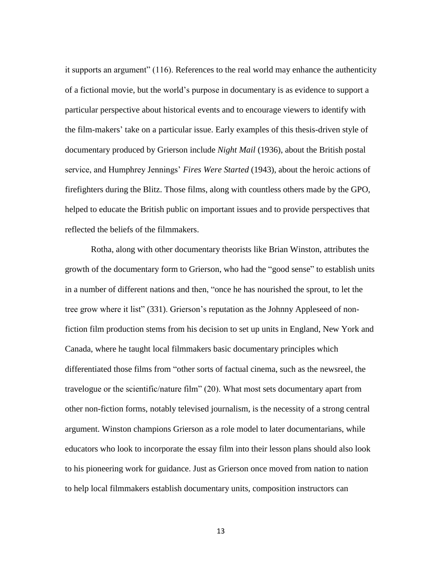it supports an argument" (116). References to the real world may enhance the authenticity of a fictional movie, but the world's purpose in documentary is as evidence to support a particular perspective about historical events and to encourage viewers to identify with the film-makers' take on a particular issue. Early examples of this thesis-driven style of documentary produced by Grierson include *Night Mail* (1936), about the British postal service, and Humphrey Jennings' *Fires Were Started* (1943), about the heroic actions of firefighters during the Blitz. Those films, along with countless others made by the GPO, helped to educate the British public on important issues and to provide perspectives that reflected the beliefs of the filmmakers.

Rotha, along with other documentary theorists like Brian Winston, attributes the growth of the documentary form to Grierson, who had the "good sense" to establish units in a number of different nations and then, "once he has nourished the sprout, to let the tree grow where it list" (331). Grierson's reputation as the Johnny Appleseed of nonfiction film production stems from his decision to set up units in England, New York and Canada, where he taught local filmmakers basic documentary principles which differentiated those films from "other sorts of factual cinema, such as the newsreel, the travelogue or the scientific/nature film" (20). What most sets documentary apart from other non-fiction forms, notably televised journalism, is the necessity of a strong central argument. Winston champions Grierson as a role model to later documentarians, while educators who look to incorporate the essay film into their lesson plans should also look to his pioneering work for guidance. Just as Grierson once moved from nation to nation to help local filmmakers establish documentary units, composition instructors can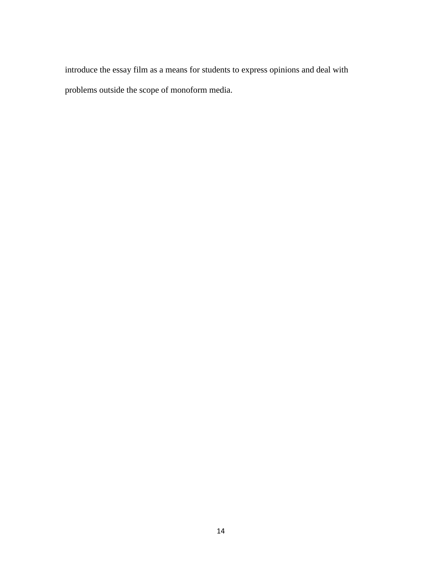introduce the essay film as a means for students to express opinions and deal with problems outside the scope of monoform media.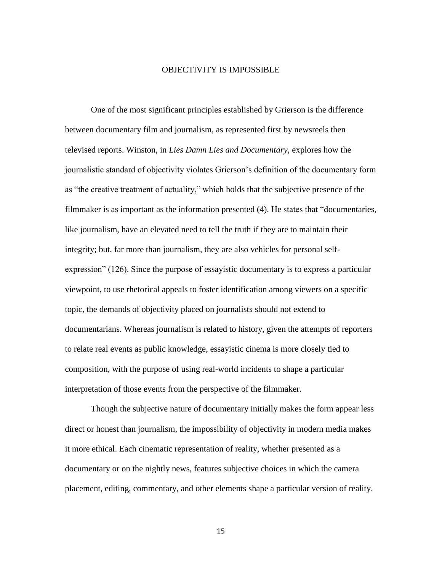#### OBJECTIVITY IS IMPOSSIBLE

One of the most significant principles established by Grierson is the difference between documentary film and journalism, as represented first by newsreels then televised reports. Winston, in *Lies Damn Lies and Documentary*, explores how the journalistic standard of objectivity violates Grierson's definition of the documentary form as "the creative treatment of actuality," which holds that the subjective presence of the filmmaker is as important as the information presented (4). He states that "documentaries, like journalism, have an elevated need to tell the truth if they are to maintain their integrity; but, far more than journalism, they are also vehicles for personal selfexpression" (126). Since the purpose of essayistic documentary is to express a particular viewpoint, to use rhetorical appeals to foster identification among viewers on a specific topic, the demands of objectivity placed on journalists should not extend to documentarians. Whereas journalism is related to history, given the attempts of reporters to relate real events as public knowledge, essayistic cinema is more closely tied to composition, with the purpose of using real-world incidents to shape a particular interpretation of those events from the perspective of the filmmaker.

Though the subjective nature of documentary initially makes the form appear less direct or honest than journalism, the impossibility of objectivity in modern media makes it more ethical. Each cinematic representation of reality, whether presented as a documentary or on the nightly news, features subjective choices in which the camera placement, editing, commentary, and other elements shape a particular version of reality.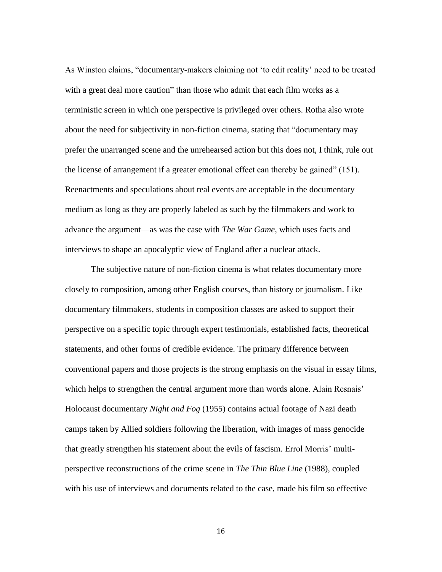As Winston claims, "documentary-makers claiming not 'to edit reality' need to be treated with a great deal more caution" than those who admit that each film works as a terministic screen in which one perspective is privileged over others. Rotha also wrote about the need for subjectivity in non-fiction cinema, stating that "documentary may prefer the unarranged scene and the unrehearsed action but this does not, I think, rule out the license of arrangement if a greater emotional effect can thereby be gained" (151). Reenactments and speculations about real events are acceptable in the documentary medium as long as they are properly labeled as such by the filmmakers and work to advance the argument—as was the case with *The War Game*, which uses facts and interviews to shape an apocalyptic view of England after a nuclear attack.

The subjective nature of non-fiction cinema is what relates documentary more closely to composition, among other English courses, than history or journalism. Like documentary filmmakers, students in composition classes are asked to support their perspective on a specific topic through expert testimonials, established facts, theoretical statements, and other forms of credible evidence. The primary difference between conventional papers and those projects is the strong emphasis on the visual in essay films, which helps to strengthen the central argument more than words alone. Alain Resnais' Holocaust documentary *Night and Fog* (1955) contains actual footage of Nazi death camps taken by Allied soldiers following the liberation, with images of mass genocide that greatly strengthen his statement about the evils of fascism. Errol Morris' multiperspective reconstructions of the crime scene in *The Thin Blue Line* (1988), coupled with his use of interviews and documents related to the case, made his film so effective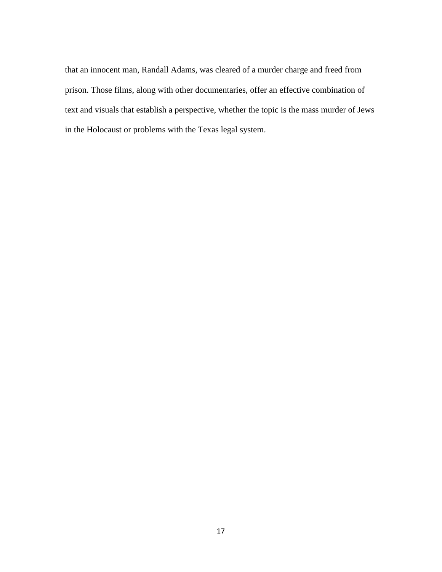that an innocent man, Randall Adams, was cleared of a murder charge and freed from prison. Those films, along with other documentaries, offer an effective combination of text and visuals that establish a perspective, whether the topic is the mass murder of Jews in the Holocaust or problems with the Texas legal system.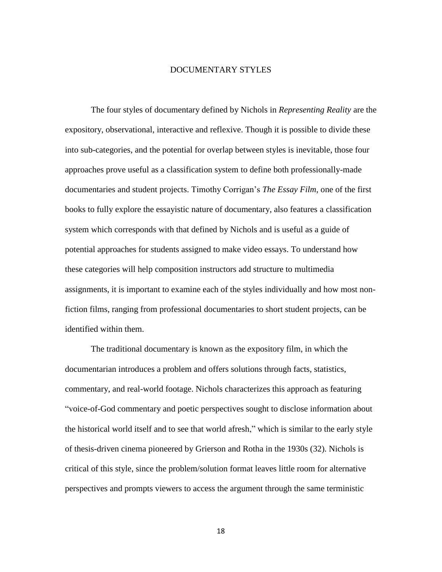#### DOCUMENTARY STYLES

The four styles of documentary defined by Nichols in *Representing Reality* are the expository, observational, interactive and reflexive. Though it is possible to divide these into sub-categories, and the potential for overlap between styles is inevitable, those four approaches prove useful as a classification system to define both professionally-made documentaries and student projects. Timothy Corrigan's *The Essay Film*, one of the first books to fully explore the essayistic nature of documentary, also features a classification system which corresponds with that defined by Nichols and is useful as a guide of potential approaches for students assigned to make video essays. To understand how these categories will help composition instructors add structure to multimedia assignments, it is important to examine each of the styles individually and how most nonfiction films, ranging from professional documentaries to short student projects, can be identified within them.

The traditional documentary is known as the expository film, in which the documentarian introduces a problem and offers solutions through facts, statistics, commentary, and real-world footage. Nichols characterizes this approach as featuring "voice-of-God commentary and poetic perspectives sought to disclose information about the historical world itself and to see that world afresh," which is similar to the early style of thesis-driven cinema pioneered by Grierson and Rotha in the 1930s (32). Nichols is critical of this style, since the problem/solution format leaves little room for alternative perspectives and prompts viewers to access the argument through the same terministic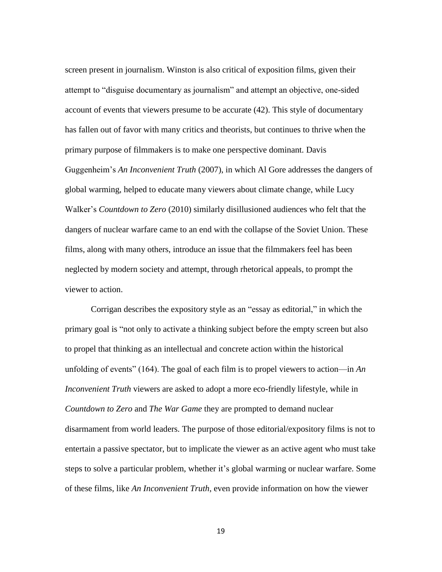screen present in journalism. Winston is also critical of exposition films, given their attempt to "disguise documentary as journalism" and attempt an objective, one-sided account of events that viewers presume to be accurate (42). This style of documentary has fallen out of favor with many critics and theorists, but continues to thrive when the primary purpose of filmmakers is to make one perspective dominant. Davis Guggenheim's *An Inconvenient Truth* (2007), in which Al Gore addresses the dangers of global warming, helped to educate many viewers about climate change, while Lucy Walker's *Countdown to Zero* (2010) similarly disillusioned audiences who felt that the dangers of nuclear warfare came to an end with the collapse of the Soviet Union. These films, along with many others, introduce an issue that the filmmakers feel has been neglected by modern society and attempt, through rhetorical appeals, to prompt the viewer to action.

Corrigan describes the expository style as an "essay as editorial," in which the primary goal is "not only to activate a thinking subject before the empty screen but also to propel that thinking as an intellectual and concrete action within the historical unfolding of events" (164). The goal of each film is to propel viewers to action—in *An Inconvenient Truth* viewers are asked to adopt a more eco-friendly lifestyle, while in *Countdown to Zero* and *The War Game* they are prompted to demand nuclear disarmament from world leaders. The purpose of those editorial/expository films is not to entertain a passive spectator, but to implicate the viewer as an active agent who must take steps to solve a particular problem, whether it's global warming or nuclear warfare. Some of these films, like *An Inconvenient Truth*, even provide information on how the viewer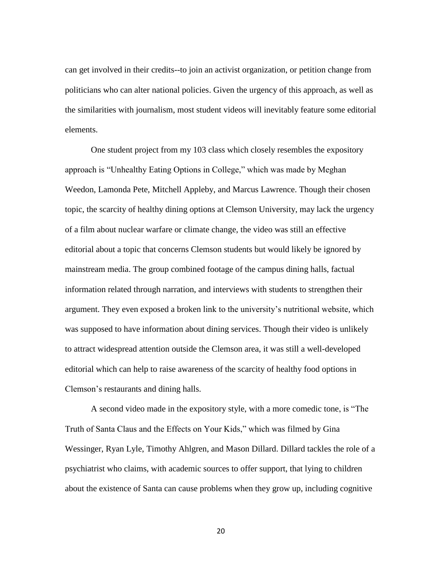can get involved in their credits--to join an activist organization, or petition change from politicians who can alter national policies. Given the urgency of this approach, as well as the similarities with journalism, most student videos will inevitably feature some editorial elements.

One student project from my 103 class which closely resembles the expository approach is "Unhealthy Eating Options in College," which was made by Meghan Weedon, Lamonda Pete, Mitchell Appleby, and Marcus Lawrence. Though their chosen topic, the scarcity of healthy dining options at Clemson University, may lack the urgency of a film about nuclear warfare or climate change, the video was still an effective editorial about a topic that concerns Clemson students but would likely be ignored by mainstream media. The group combined footage of the campus dining halls, factual information related through narration, and interviews with students to strengthen their argument. They even exposed a broken link to the university's nutritional website, which was supposed to have information about dining services. Though their video is unlikely to attract widespread attention outside the Clemson area, it was still a well-developed editorial which can help to raise awareness of the scarcity of healthy food options in Clemson's restaurants and dining halls.

A second video made in the expository style, with a more comedic tone, is "The Truth of Santa Claus and the Effects on Your Kids," which was filmed by Gina Wessinger, Ryan Lyle, Timothy Ahlgren, and Mason Dillard. Dillard tackles the role of a psychiatrist who claims, with academic sources to offer support, that lying to children about the existence of Santa can cause problems when they grow up, including cognitive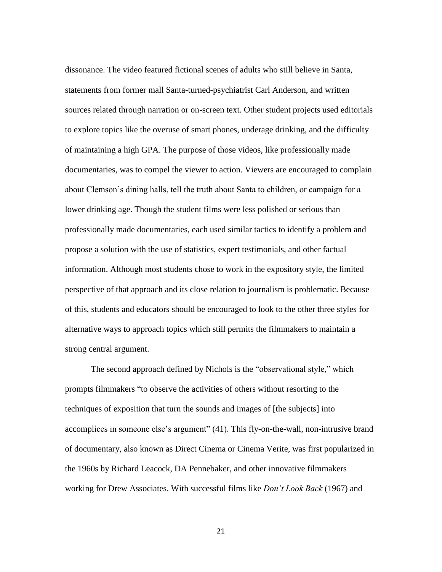dissonance. The video featured fictional scenes of adults who still believe in Santa, statements from former mall Santa-turned-psychiatrist Carl Anderson, and written sources related through narration or on-screen text. Other student projects used editorials to explore topics like the overuse of smart phones, underage drinking, and the difficulty of maintaining a high GPA. The purpose of those videos, like professionally made documentaries, was to compel the viewer to action. Viewers are encouraged to complain about Clemson's dining halls, tell the truth about Santa to children, or campaign for a lower drinking age. Though the student films were less polished or serious than professionally made documentaries, each used similar tactics to identify a problem and propose a solution with the use of statistics, expert testimonials, and other factual information. Although most students chose to work in the expository style, the limited perspective of that approach and its close relation to journalism is problematic. Because of this, students and educators should be encouraged to look to the other three styles for alternative ways to approach topics which still permits the filmmakers to maintain a strong central argument.

The second approach defined by Nichols is the "observational style," which prompts filmmakers "to observe the activities of others without resorting to the techniques of exposition that turn the sounds and images of [the subjects] into accomplices in someone else's argument" (41). This fly-on-the-wall, non-intrusive brand of documentary, also known as Direct Cinema or Cinema Verite, was first popularized in the 1960s by Richard Leacock, DA Pennebaker, and other innovative filmmakers working for Drew Associates. With successful films like *Don't Look Back* (1967) and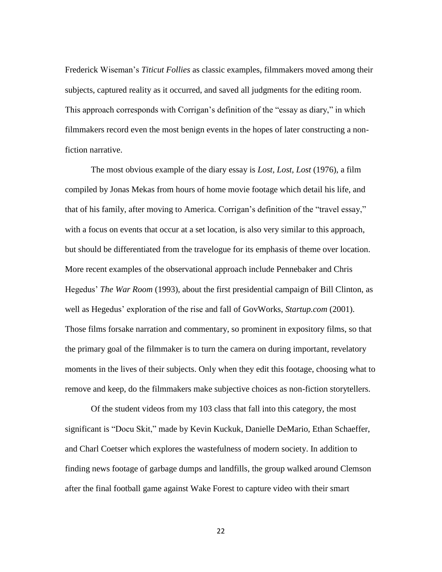Frederick Wiseman's *Titicut Follies* as classic examples, filmmakers moved among their subjects, captured reality as it occurred, and saved all judgments for the editing room. This approach corresponds with Corrigan's definition of the "essay as diary," in which filmmakers record even the most benign events in the hopes of later constructing a nonfiction narrative.

The most obvious example of the diary essay is *Lost, Lost, Lost* (1976), a film compiled by Jonas Mekas from hours of home movie footage which detail his life, and that of his family, after moving to America. Corrigan's definition of the "travel essay," with a focus on events that occur at a set location, is also very similar to this approach, but should be differentiated from the travelogue for its emphasis of theme over location. More recent examples of the observational approach include Pennebaker and Chris Hegedus' *The War Room* (1993), about the first presidential campaign of Bill Clinton, as well as Hegedus' exploration of the rise and fall of GovWorks, *Startup.com* (2001). Those films forsake narration and commentary, so prominent in expository films, so that the primary goal of the filmmaker is to turn the camera on during important, revelatory moments in the lives of their subjects. Only when they edit this footage, choosing what to remove and keep, do the filmmakers make subjective choices as non-fiction storytellers.

Of the student videos from my 103 class that fall into this category, the most significant is "Docu Skit," made by Kevin Kuckuk, Danielle DeMario, Ethan Schaeffer, and Charl Coetser which explores the wastefulness of modern society. In addition to finding news footage of garbage dumps and landfills, the group walked around Clemson after the final football game against Wake Forest to capture video with their smart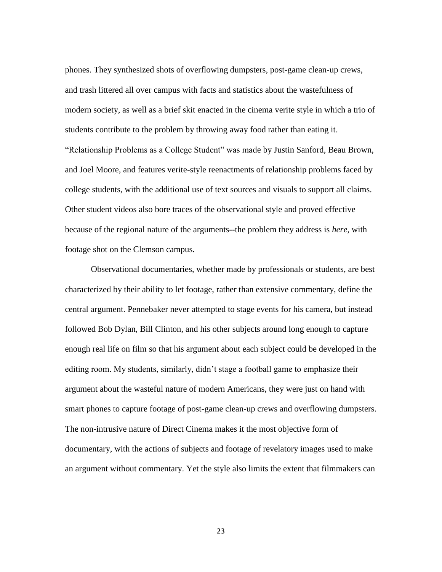phones. They synthesized shots of overflowing dumpsters, post-game clean-up crews, and trash littered all over campus with facts and statistics about the wastefulness of modern society, as well as a brief skit enacted in the cinema verite style in which a trio of students contribute to the problem by throwing away food rather than eating it. "Relationship Problems as a College Student" was made by Justin Sanford, Beau Brown, and Joel Moore, and features verite-style reenactments of relationship problems faced by college students, with the additional use of text sources and visuals to support all claims. Other student videos also bore traces of the observational style and proved effective because of the regional nature of the arguments--the problem they address is *here*, with footage shot on the Clemson campus.

Observational documentaries, whether made by professionals or students, are best characterized by their ability to let footage, rather than extensive commentary, define the central argument. Pennebaker never attempted to stage events for his camera, but instead followed Bob Dylan, Bill Clinton, and his other subjects around long enough to capture enough real life on film so that his argument about each subject could be developed in the editing room. My students, similarly, didn't stage a football game to emphasize their argument about the wasteful nature of modern Americans, they were just on hand with smart phones to capture footage of post-game clean-up crews and overflowing dumpsters. The non-intrusive nature of Direct Cinema makes it the most objective form of documentary, with the actions of subjects and footage of revelatory images used to make an argument without commentary. Yet the style also limits the extent that filmmakers can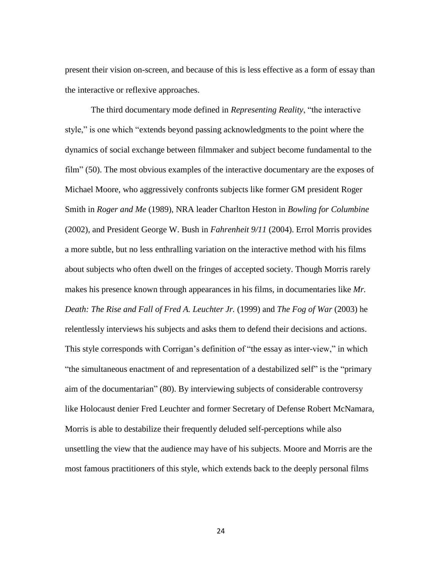present their vision on-screen, and because of this is less effective as a form of essay than the interactive or reflexive approaches.

The third documentary mode defined in *Representing Reality*, "the interactive style," is one which "extends beyond passing acknowledgments to the point where the dynamics of social exchange between filmmaker and subject become fundamental to the film" (50). The most obvious examples of the interactive documentary are the exposes of Michael Moore, who aggressively confronts subjects like former GM president Roger Smith in *Roger and Me* (1989), NRA leader Charlton Heston in *Bowling for Columbine* (2002), and President George W. Bush in *Fahrenheit 9/11* (2004). Errol Morris provides a more subtle, but no less enthralling variation on the interactive method with his films about subjects who often dwell on the fringes of accepted society. Though Morris rarely makes his presence known through appearances in his films, in documentaries like *Mr. Death: The Rise and Fall of Fred A. Leuchter Jr.* (1999) and *The Fog of War* (2003) he relentlessly interviews his subjects and asks them to defend their decisions and actions. This style corresponds with Corrigan's definition of "the essay as inter-view," in which "the simultaneous enactment of and representation of a destabilized self" is the "primary aim of the documentarian" (80). By interviewing subjects of considerable controversy like Holocaust denier Fred Leuchter and former Secretary of Defense Robert McNamara, Morris is able to destabilize their frequently deluded self-perceptions while also unsettling the view that the audience may have of his subjects. Moore and Morris are the most famous practitioners of this style, which extends back to the deeply personal films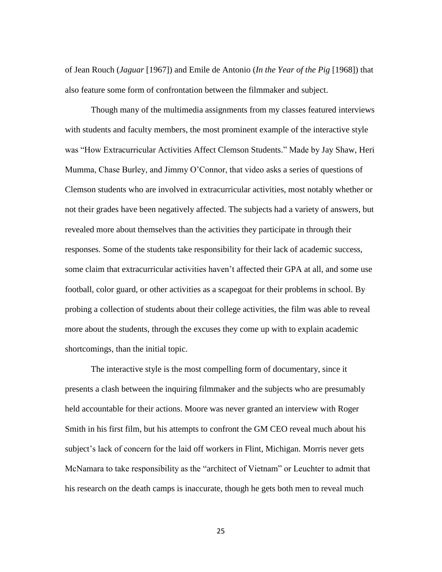of Jean Rouch (*Jaguar* [1967]) and Emile de Antonio (*In the Year of the Pig* [1968]) that also feature some form of confrontation between the filmmaker and subject.

Though many of the multimedia assignments from my classes featured interviews with students and faculty members, the most prominent example of the interactive style was "How Extracurricular Activities Affect Clemson Students." Made by Jay Shaw, Heri Mumma, Chase Burley, and Jimmy O'Connor, that video asks a series of questions of Clemson students who are involved in extracurricular activities, most notably whether or not their grades have been negatively affected. The subjects had a variety of answers, but revealed more about themselves than the activities they participate in through their responses. Some of the students take responsibility for their lack of academic success, some claim that extracurricular activities haven't affected their GPA at all, and some use football, color guard, or other activities as a scapegoat for their problems in school. By probing a collection of students about their college activities, the film was able to reveal more about the students, through the excuses they come up with to explain academic shortcomings, than the initial topic.

The interactive style is the most compelling form of documentary, since it presents a clash between the inquiring filmmaker and the subjects who are presumably held accountable for their actions. Moore was never granted an interview with Roger Smith in his first film, but his attempts to confront the GM CEO reveal much about his subject's lack of concern for the laid off workers in Flint, Michigan. Morris never gets McNamara to take responsibility as the "architect of Vietnam" or Leuchter to admit that his research on the death camps is inaccurate, though he gets both men to reveal much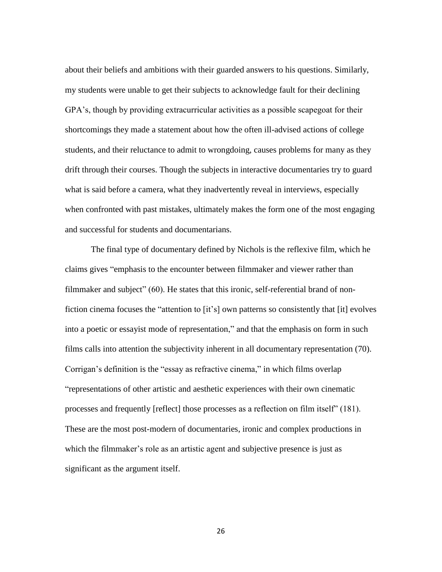about their beliefs and ambitions with their guarded answers to his questions. Similarly, my students were unable to get their subjects to acknowledge fault for their declining GPA's, though by providing extracurricular activities as a possible scapegoat for their shortcomings they made a statement about how the often ill-advised actions of college students, and their reluctance to admit to wrongdoing, causes problems for many as they drift through their courses. Though the subjects in interactive documentaries try to guard what is said before a camera, what they inadvertently reveal in interviews, especially when confronted with past mistakes, ultimately makes the form one of the most engaging and successful for students and documentarians.

The final type of documentary defined by Nichols is the reflexive film, which he claims gives "emphasis to the encounter between filmmaker and viewer rather than filmmaker and subject" (60). He states that this ironic, self-referential brand of nonfiction cinema focuses the "attention to [it's] own patterns so consistently that [it] evolves into a poetic or essayist mode of representation," and that the emphasis on form in such films calls into attention the subjectivity inherent in all documentary representation (70). Corrigan's definition is the "essay as refractive cinema," in which films overlap "representations of other artistic and aesthetic experiences with their own cinematic processes and frequently [reflect] those processes as a reflection on film itself" (181). These are the most post-modern of documentaries, ironic and complex productions in which the filmmaker's role as an artistic agent and subjective presence is just as significant as the argument itself.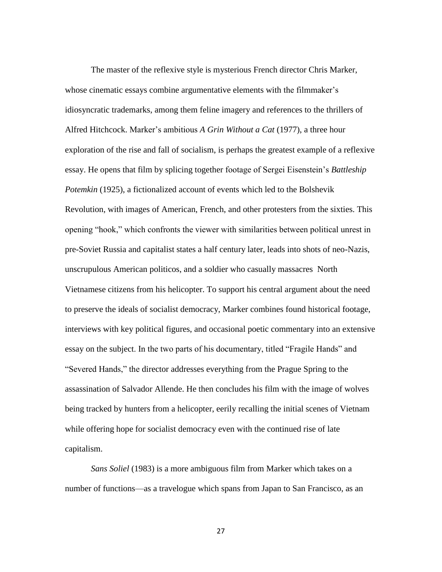The master of the reflexive style is mysterious French director Chris Marker, whose cinematic essays combine argumentative elements with the filmmaker's idiosyncratic trademarks, among them feline imagery and references to the thrillers of Alfred Hitchcock. Marker's ambitious *A Grin Without a Cat* (1977), a three hour exploration of the rise and fall of socialism, is perhaps the greatest example of a reflexive essay. He opens that film by splicing together footage of Sergei Eisenstein's *Battleship Potemkin* (1925), a fictionalized account of events which led to the Bolshevik Revolution, with images of American, French, and other protesters from the sixties. This opening "hook," which confronts the viewer with similarities between political unrest in pre-Soviet Russia and capitalist states a half century later, leads into shots of neo-Nazis, unscrupulous American politicos, and a soldier who casually massacres North Vietnamese citizens from his helicopter. To support his central argument about the need to preserve the ideals of socialist democracy, Marker combines found historical footage, interviews with key political figures, and occasional poetic commentary into an extensive essay on the subject. In the two parts of his documentary, titled "Fragile Hands" and "Severed Hands," the director addresses everything from the Prague Spring to the assassination of Salvador Allende. He then concludes his film with the image of wolves being tracked by hunters from a helicopter, eerily recalling the initial scenes of Vietnam while offering hope for socialist democracy even with the continued rise of late capitalism.

*Sans Soliel* (1983) is a more ambiguous film from Marker which takes on a number of functions—as a travelogue which spans from Japan to San Francisco, as an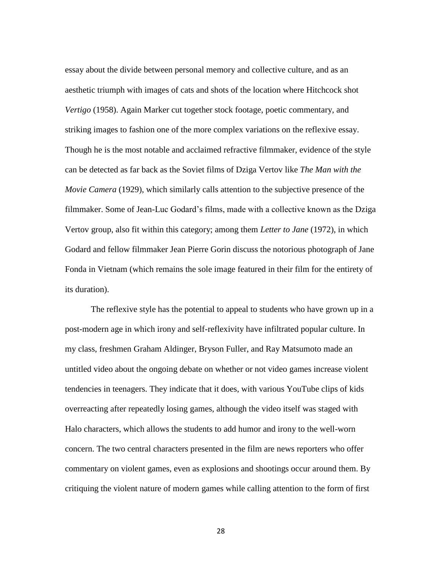essay about the divide between personal memory and collective culture, and as an aesthetic triumph with images of cats and shots of the location where Hitchcock shot *Vertigo* (1958). Again Marker cut together stock footage, poetic commentary, and striking images to fashion one of the more complex variations on the reflexive essay. Though he is the most notable and acclaimed refractive filmmaker, evidence of the style can be detected as far back as the Soviet films of Dziga Vertov like *The Man with the Movie Camera* (1929), which similarly calls attention to the subjective presence of the filmmaker. Some of Jean-Luc Godard's films, made with a collective known as the Dziga Vertov group, also fit within this category; among them *Letter to Jane* (1972), in which Godard and fellow filmmaker Jean Pierre Gorin discuss the notorious photograph of Jane Fonda in Vietnam (which remains the sole image featured in their film for the entirety of its duration).

The reflexive style has the potential to appeal to students who have grown up in a post-modern age in which irony and self-reflexivity have infiltrated popular culture. In my class, freshmen Graham Aldinger, Bryson Fuller, and Ray Matsumoto made an untitled video about the ongoing debate on whether or not video games increase violent tendencies in teenagers. They indicate that it does, with various YouTube clips of kids overreacting after repeatedly losing games, although the video itself was staged with Halo characters, which allows the students to add humor and irony to the well-worn concern. The two central characters presented in the film are news reporters who offer commentary on violent games, even as explosions and shootings occur around them. By critiquing the violent nature of modern games while calling attention to the form of first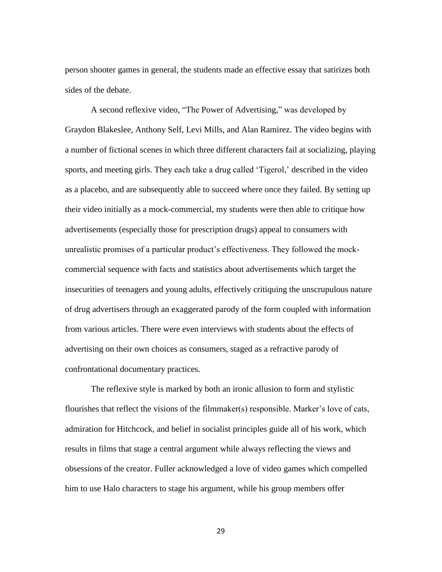person shooter games in general, the students made an effective essay that satirizes both sides of the debate.

A second reflexive video, "The Power of Advertising," was developed by Graydon Blakeslee, Anthony Self, Levi Mills, and Alan Ramirez. The video begins with a number of fictional scenes in which three different characters fail at socializing, playing sports, and meeting girls. They each take a drug called 'Tigerol,' described in the video as a placebo, and are subsequently able to succeed where once they failed. By setting up their video initially as a mock-commercial, my students were then able to critique how advertisements (especially those for prescription drugs) appeal to consumers with unrealistic promises of a particular product's effectiveness. They followed the mockcommercial sequence with facts and statistics about advertisements which target the insecurities of teenagers and young adults, effectively critiquing the unscrupulous nature of drug advertisers through an exaggerated parody of the form coupled with information from various articles. There were even interviews with students about the effects of advertising on their own choices as consumers, staged as a refractive parody of confrontational documentary practices.

The reflexive style is marked by both an ironic allusion to form and stylistic flourishes that reflect the visions of the filmmaker(s) responsible. Marker's love of cats, admiration for Hitchcock, and belief in socialist principles guide all of his work, which results in films that stage a central argument while always reflecting the views and obsessions of the creator. Fuller acknowledged a love of video games which compelled him to use Halo characters to stage his argument, while his group members offer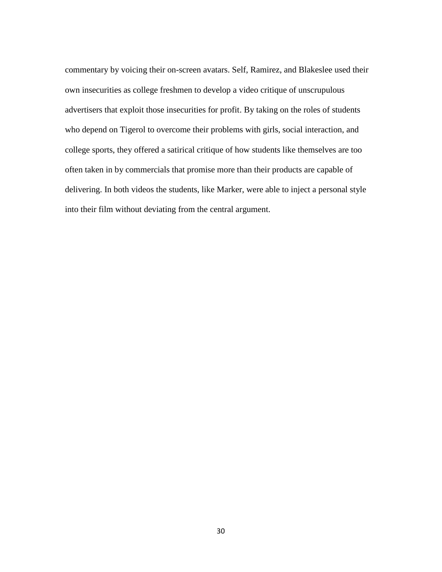commentary by voicing their on-screen avatars. Self, Ramirez, and Blakeslee used their own insecurities as college freshmen to develop a video critique of unscrupulous advertisers that exploit those insecurities for profit. By taking on the roles of students who depend on Tigerol to overcome their problems with girls, social interaction, and college sports, they offered a satirical critique of how students like themselves are too often taken in by commercials that promise more than their products are capable of delivering. In both videos the students, like Marker, were able to inject a personal style into their film without deviating from the central argument.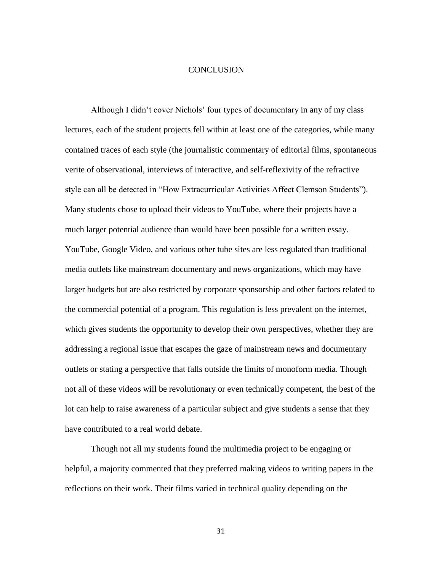#### **CONCLUSION**

Although I didn't cover Nichols' four types of documentary in any of my class lectures, each of the student projects fell within at least one of the categories, while many contained traces of each style (the journalistic commentary of editorial films, spontaneous verite of observational, interviews of interactive, and self-reflexivity of the refractive style can all be detected in "How Extracurricular Activities Affect Clemson Students"). Many students chose to upload their videos to YouTube, where their projects have a much larger potential audience than would have been possible for a written essay. YouTube, Google Video, and various other tube sites are less regulated than traditional media outlets like mainstream documentary and news organizations, which may have larger budgets but are also restricted by corporate sponsorship and other factors related to the commercial potential of a program. This regulation is less prevalent on the internet, which gives students the opportunity to develop their own perspectives, whether they are addressing a regional issue that escapes the gaze of mainstream news and documentary outlets or stating a perspective that falls outside the limits of monoform media. Though not all of these videos will be revolutionary or even technically competent, the best of the lot can help to raise awareness of a particular subject and give students a sense that they have contributed to a real world debate.

Though not all my students found the multimedia project to be engaging or helpful, a majority commented that they preferred making videos to writing papers in the reflections on their work. Their films varied in technical quality depending on the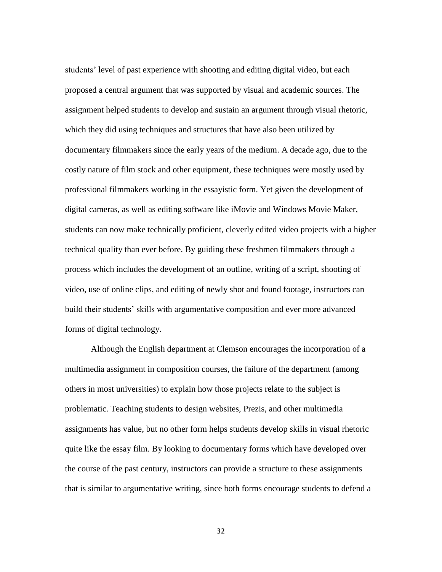students' level of past experience with shooting and editing digital video, but each proposed a central argument that was supported by visual and academic sources. The assignment helped students to develop and sustain an argument through visual rhetoric, which they did using techniques and structures that have also been utilized by documentary filmmakers since the early years of the medium. A decade ago, due to the costly nature of film stock and other equipment, these techniques were mostly used by professional filmmakers working in the essayistic form. Yet given the development of digital cameras, as well as editing software like iMovie and Windows Movie Maker, students can now make technically proficient, cleverly edited video projects with a higher technical quality than ever before. By guiding these freshmen filmmakers through a process which includes the development of an outline, writing of a script, shooting of video, use of online clips, and editing of newly shot and found footage, instructors can build their students' skills with argumentative composition and ever more advanced forms of digital technology.

Although the English department at Clemson encourages the incorporation of a multimedia assignment in composition courses, the failure of the department (among others in most universities) to explain how those projects relate to the subject is problematic. Teaching students to design websites, Prezis, and other multimedia assignments has value, but no other form helps students develop skills in visual rhetoric quite like the essay film. By looking to documentary forms which have developed over the course of the past century, instructors can provide a structure to these assignments that is similar to argumentative writing, since both forms encourage students to defend a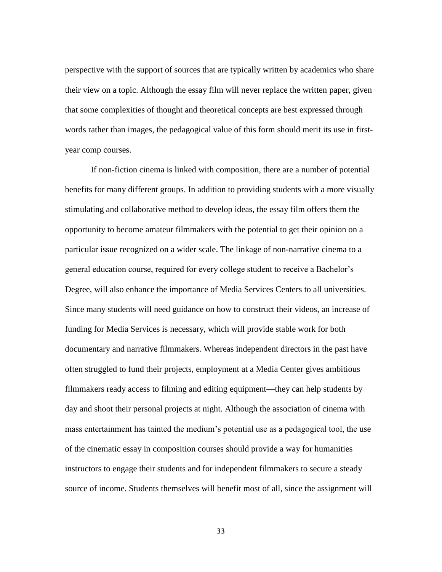perspective with the support of sources that are typically written by academics who share their view on a topic. Although the essay film will never replace the written paper, given that some complexities of thought and theoretical concepts are best expressed through words rather than images, the pedagogical value of this form should merit its use in firstyear comp courses.

If non-fiction cinema is linked with composition, there are a number of potential benefits for many different groups. In addition to providing students with a more visually stimulating and collaborative method to develop ideas, the essay film offers them the opportunity to become amateur filmmakers with the potential to get their opinion on a particular issue recognized on a wider scale. The linkage of non-narrative cinema to a general education course, required for every college student to receive a Bachelor's Degree, will also enhance the importance of Media Services Centers to all universities. Since many students will need guidance on how to construct their videos, an increase of funding for Media Services is necessary, which will provide stable work for both documentary and narrative filmmakers. Whereas independent directors in the past have often struggled to fund their projects, employment at a Media Center gives ambitious filmmakers ready access to filming and editing equipment—they can help students by day and shoot their personal projects at night. Although the association of cinema with mass entertainment has tainted the medium's potential use as a pedagogical tool, the use of the cinematic essay in composition courses should provide a way for humanities instructors to engage their students and for independent filmmakers to secure a steady source of income. Students themselves will benefit most of all, since the assignment will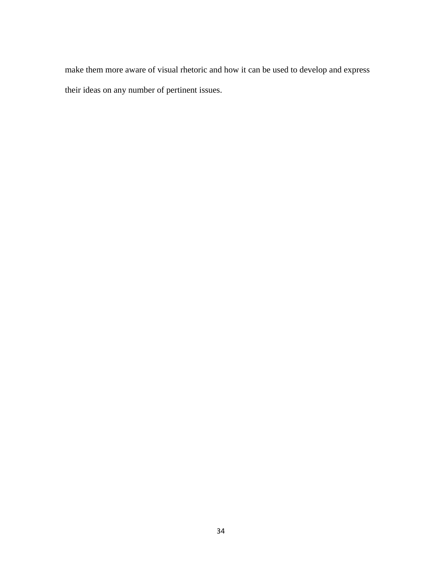make them more aware of visual rhetoric and how it can be used to develop and express their ideas on any number of pertinent issues.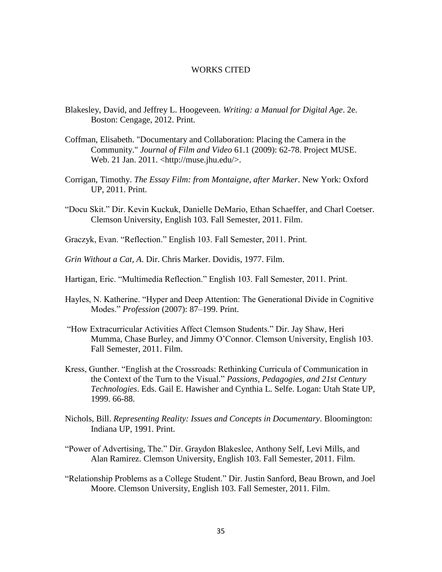#### WORKS CITED

- Blakesley, David, and Jeffrey L. Hoogeveen. *Writing: a Manual for Digital Age*. 2e. Boston: Cengage, 2012. Print.
- Coffman, Elisabeth. "Documentary and Collaboration: Placing the Camera in the Community." *Journal of Film and Video* 61.1 (2009): 62-78. Project MUSE. Web. 21 Jan. 2011. <http://muse.jhu.edu/>.
- Corrigan, Timothy. *The Essay Film: from Montaigne, after Marker*. New York: Oxford UP, 2011. Print.
- "Docu Skit." Dir. Kevin Kuckuk, Danielle DeMario, Ethan Schaeffer, and Charl Coetser. Clemson University, English 103. Fall Semester, 2011. Film.
- Graczyk, Evan. "Reflection." English 103. Fall Semester, 2011. Print.
- *Grin Without a Cat, A*. Dir. Chris Marker. Dovidis, 1977. Film.
- Hartigan, Eric. "Multimedia Reflection." English 103. Fall Semester, 2011. Print.
- Hayles, N. Katherine. "Hyper and Deep Attention: The Generational Divide in Cognitive Modes." *Profession* (2007): 87–199. Print.
- "How Extracurricular Activities Affect Clemson Students." Dir. Jay Shaw, Heri Mumma, Chase Burley, and Jimmy O'Connor. Clemson University, English 103. Fall Semester, 2011. Film.
- Kress, Gunther. "English at the Crossroads: Rethinking Curricula of Communication in the Context of the Turn to the Visual." *Passions, Pedagogies, and 21st Century Technologies*. Eds. Gail E. Hawisher and Cynthia L. Selfe. Logan: Utah State UP, 1999. 66-88.
- Nichols, Bill. *Representing Reality: Issues and Concepts in Documentary*. Bloomington: Indiana UP, 1991. Print.
- "Power of Advertising, The." Dir. Graydon Blakeslee, Anthony Self, Levi Mills, and Alan Ramirez. Clemson University, English 103. Fall Semester, 2011. Film.
- "Relationship Problems as a College Student." Dir. Justin Sanford, Beau Brown, and Joel Moore. Clemson University, English 103. Fall Semester, 2011. Film.